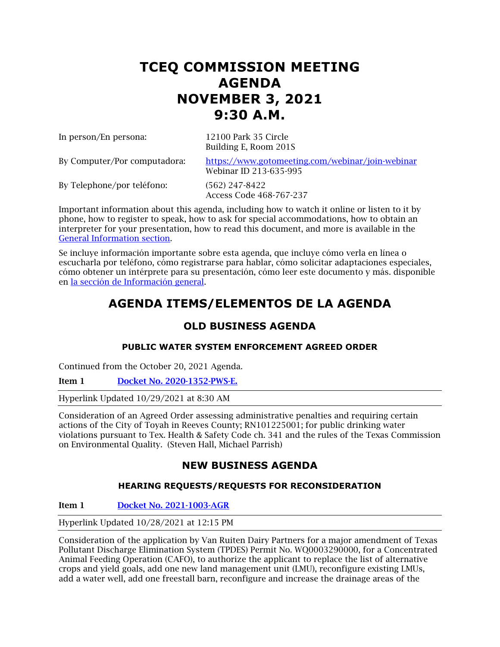# **TCEQ COMMISSION MEETING AGENDA NOVEMBER 3, 2021 9:30 A.M.**

In person/En persona: 12100 Park 35 Circle

Building E, Room 201S

By Computer/Por computadora: <https://www.gotomeeting.com/webinar/join-webinar> Webinar ID 213-635-995

By Telephone/por teléfono: (562) 247-8422

Access Code 468-767-237

Important information about this agenda, including how to watch it online or listen to it by phone, how to register to speak, how to ask for special accommodations, how to obtain an interpreter for your presentation, how to read this document, and more is available in the [General Information section.](#page-5-0)

Se incluye información importante sobre esta agenda, que incluye cómo verla en línea o escucharla por teléfono, cómo registrarse para hablar, cómo solicitar adaptaciones especiales, cómo obtener un intérprete para su presentación, cómo leer este documento y más. disponible en [la sección de Información general.](#page-5-0)

# **AGENDA ITEMS/ELEMENTOS DE LA AGENDA**

# **OLD BUSINESS AGENDA**

# **PUBLIC WATER SYSTEM ENFORCEMENT AGREED ORDER**

Continued from the October 20, 2021 Agenda.

Item 1 [Docket No. 2020-1352-PWS-E.](http://www.tceq.texas.gov/assets/public/comm_exec/agendas/comm/backup/Agendas/2021/11-03-2021/1352PWS.pdf)

Hyperlink Updated 10/29/2021 at 8:30 AM

Consideration of an Agreed Order assessing administrative penalties and requiring certain actions of the City of Toyah in Reeves County; RN101225001; for public drinking water violations pursuant to Tex. Health & Safety Code ch. 341 and the rules of the Texas Commission on Environmental Quality. (Steven Hall, Michael Parrish)

# **NEW BUSINESS AGENDA**

# **HEARING REQUESTS/REQUESTS FOR RECONSIDERATION**

Item 1 [Docket No. 2021-1003-AGR](http://www.tceq.texas.gov/assets/public/comm_exec/agendas/comm/backup/Agendas/2021/11-03-2021/ruiten.pdf)

Hyperlink Updated 10/28/2021 at 12:15 PM

Consideration of the application by Van Ruiten Dairy Partners for a major amendment of Texas Pollutant Discharge Elimination System (TPDES) Permit No. WQ0003290000, for a Concentrated Animal Feeding Operation (CAFO), to authorize the applicant to replace the list of alternative crops and yield goals, add one new land management unit (LMU), reconfigure existing LMUs, add a water well, add one freestall barn, reconfigure and increase the drainage areas of the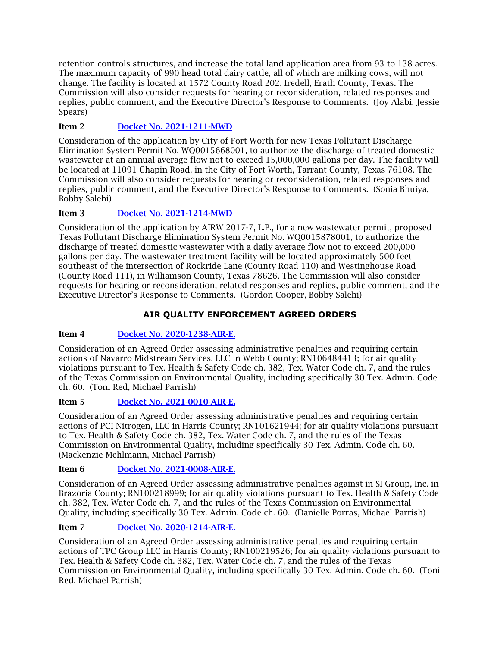retention controls structures, and increase the total land application area from 93 to 138 acres. The maximum capacity of 990 head total dairy cattle, all of which are milking cows, will not change. The facility is located at 1572 County Road 202, Iredell, Erath County, Texas. The Commission will also consider requests for hearing or reconsideration, related responses and replies, public comment, and the Executive Director's Response to Comments. (Joy Alabi, Jessie Spears)

# Item 2 [Docket No. 2021-1211-MWD](http://www.tceq.texas.gov/assets/public/comm_exec/agendas/comm/backup/Agendas/2021/11-03-2021/fortworth.pdf)

Consideration of the application by City of Fort Worth for new Texas Pollutant Discharge Elimination System Permit No. WQ0015668001, to authorize the discharge of treated domestic wastewater at an annual average flow not to exceed 15,000,000 gallons per day. The facility will be located at 11091 Chapin Road, in the City of Fort Worth, Tarrant County, Texas 76108. The Commission will also consider requests for hearing or reconsideration, related responses and replies, public comment, and the Executive Director's Response to Comments. (Sonia Bhuiya, Bobby Salehi)

# Item 3 [Docket No. 2021-1214-MWD](http://www.tceq.texas.gov/assets/public/comm_exec/agendas/comm/backup/Agendas/2021/11-03-2021/airw.pdf)

Consideration of the application by AIRW 2017-7, L.P., for a new wastewater permit, proposed Texas Pollutant Discharge Elimination System Permit No. WQ0015878001, to authorize the discharge of treated domestic wastewater with a daily average flow not to exceed 200,000 gallons per day. The wastewater treatment facility will be located approximately 500 feet southeast of the intersection of Rockride Lane (County Road 110) and Westinghouse Road (County Road 111), in Williamson County, Texas 78626. The Commission will also consider requests for hearing or reconsideration, related responses and replies, public comment, and the Executive Director's Response to Comments. (Gordon Cooper, Bobby Salehi)

# **AIR QUALITY ENFORCEMENT AGREED ORDERS**

# Item 4 [Docket No. 2020-1238-AIR-E.](http://www.tceq.texas.gov/assets/public/comm_exec/agendas/comm/backup/Agendas/2021/11-03-2021/1238AIR.pdf)

Consideration of an Agreed Order assessing administrative penalties and requiring certain actions of Navarro Midstream Services, LLC in Webb County; RN106484413; for air quality violations pursuant to Tex. Health & Safety Code ch. 382, Tex. Water Code ch. 7, and the rules of the Texas Commission on Environmental Quality, including specifically 30 Tex. Admin. Code ch. 60. (Toni Red, Michael Parrish)

# Item 5 [Docket No. 2021-0010-AIR-E.](http://www.tceq.texas.gov/assets/public/comm_exec/agendas/comm/backup/Agendas/2021/11-03-2021/0010AIR.pdf)

Consideration of an Agreed Order assessing administrative penalties and requiring certain actions of PCI Nitrogen, LLC in Harris County; RN101621944; for air quality violations pursuant to Tex. Health & Safety Code ch. 382, Tex. Water Code ch. 7, and the rules of the Texas Commission on Environmental Quality, including specifically 30 Tex. Admin. Code ch. 60. (Mackenzie Mehlmann, Michael Parrish)

# Item 6 [Docket No. 2021-0008-AIR-E.](http://www.tceq.texas.gov/assets/public/comm_exec/agendas/comm/backup/Agendas/2021/11-03-2021/0008AIR.pdf)

Consideration of an Agreed Order assessing administrative penalties against in SI Group, Inc. in Brazoria County; RN100218999; for air quality violations pursuant to Tex. Health & Safety Code ch. 382, Tex. Water Code ch. 7, and the rules of the Texas Commission on Environmental Quality, including specifically 30 Tex. Admin. Code ch. 60. (Danielle Porras, Michael Parrish)

# Item 7 [Docket No. 2020-1214-AIR-E.](http://www.tceq.texas.gov/assets/public/comm_exec/agendas/comm/backup/Agendas/2021/11-03-2021/1214AIR.pdf)

Consideration of an Agreed Order assessing administrative penalties and requiring certain actions of TPC Group LLC in Harris County; RN100219526; for air quality violations pursuant to Tex. Health & Safety Code ch. 382, Tex. Water Code ch. 7, and the rules of the Texas Commission on Environmental Quality, including specifically 30 Tex. Admin. Code ch. 60. (Toni Red, Michael Parrish)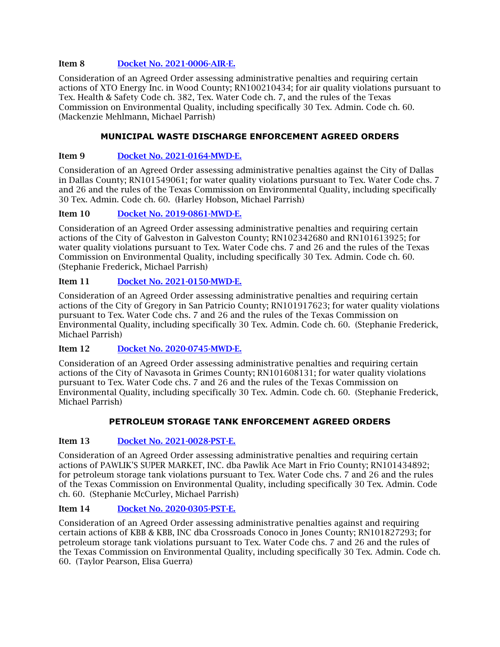## Item 8 [Docket No. 2021-0006-AIR-E.](http://www.tceq.texas.gov/assets/public/comm_exec/agendas/comm/backup/Agendas/2021/11-03-2021/0006AIR.pdf)

Consideration of an Agreed Order assessing administrative penalties and requiring certain actions of XTO Energy Inc. in Wood County; RN100210434; for air quality violations pursuant to Tex. Health & Safety Code ch. 382, Tex. Water Code ch. 7, and the rules of the Texas Commission on Environmental Quality, including specifically 30 Tex. Admin. Code ch. 60. (Mackenzie Mehlmann, Michael Parrish)

# **MUNICIPAL WASTE DISCHARGE ENFORCEMENT AGREED ORDERS**

# Item 9 [Docket No. 2021-0164-MWD-E.](http://www.tceq.texas.gov/assets/public/comm_exec/agendas/comm/backup/Agendas/2021/11-03-2021/0164MWD.pdf)

Consideration of an Agreed Order assessing administrative penalties against the City of Dallas in Dallas County; RN101549061; for water quality violations pursuant to Tex. Water Code chs. 7 and 26 and the rules of the Texas Commission on Environmental Quality, including specifically 30 Tex. Admin. Code ch. 60. (Harley Hobson, Michael Parrish)

# Item 10 [Docket No. 2019-0861-MWD-E.](http://www.tceq.texas.gov/assets/public/comm_exec/agendas/comm/backup/Agendas/2021/11-03-2021/0861MWD.pdf)

Consideration of an Agreed Order assessing administrative penalties and requiring certain actions of the City of Galveston in Galveston County; RN102342680 and RN101613925; for water quality violations pursuant to Tex. Water Code chs. 7 and 26 and the rules of the Texas Commission on Environmental Quality, including specifically 30 Tex. Admin. Code ch. 60. (Stephanie Frederick, Michael Parrish)

# Item 11 [Docket No. 2021-0150-MWD-E.](http://www.tceq.texas.gov/assets/public/comm_exec/agendas/comm/backup/Agendas/2021/11-03-2021/0150MWD.pdf)

Consideration of an Agreed Order assessing administrative penalties and requiring certain actions of the City of Gregory in San Patricio County; RN101917623; for water quality violations pursuant to Tex. Water Code chs. 7 and 26 and the rules of the Texas Commission on Environmental Quality, including specifically 30 Tex. Admin. Code ch. 60. (Stephanie Frederick, Michael Parrish)

# Item 12 [Docket No. 2020-0745-MWD-E.](http://www.tceq.texas.gov/assets/public/comm_exec/agendas/comm/backup/Agendas/2021/11-03-2021/0745MWD.pdf)

Consideration of an Agreed Order assessing administrative penalties and requiring certain actions of the City of Navasota in Grimes County; RN101608131; for water quality violations pursuant to Tex. Water Code chs. 7 and 26 and the rules of the Texas Commission on Environmental Quality, including specifically 30 Tex. Admin. Code ch. 60. (Stephanie Frederick, Michael Parrish)

# **PETROLEUM STORAGE TANK ENFORCEMENT AGREED ORDERS**

#### Item 13 [Docket No. 2021-0028-PST-E.](http://www.tceq.texas.gov/assets/public/comm_exec/agendas/comm/backup/Agendas/2021/11-03-2021/0028PST.pdf)

Consideration of an Agreed Order assessing administrative penalties and requiring certain actions of PAWLIK'S SUPER MARKET, INC. dba Pawlik Ace Mart in Frio County; RN101434892; for petroleum storage tank violations pursuant to Tex. Water Code chs. 7 and 26 and the rules of the Texas Commission on Environmental Quality, including specifically 30 Tex. Admin. Code ch. 60. (Stephanie McCurley, Michael Parrish)

#### Item 14 [Docket No. 2020-0305-PST-E.](http://www.tceq.texas.gov/assets/public/comm_exec/agendas/comm/backup/Agendas/2021/11-03-2021/0305PST.pdf)

Consideration of an Agreed Order assessing administrative penalties against and requiring certain actions of KBB & KBB, INC dba Crossroads Conoco in Jones County; RN101827293; for petroleum storage tank violations pursuant to Tex. Water Code chs. 7 and 26 and the rules of the Texas Commission on Environmental Quality, including specifically 30 Tex. Admin. Code ch. 60. (Taylor Pearson, Elisa Guerra)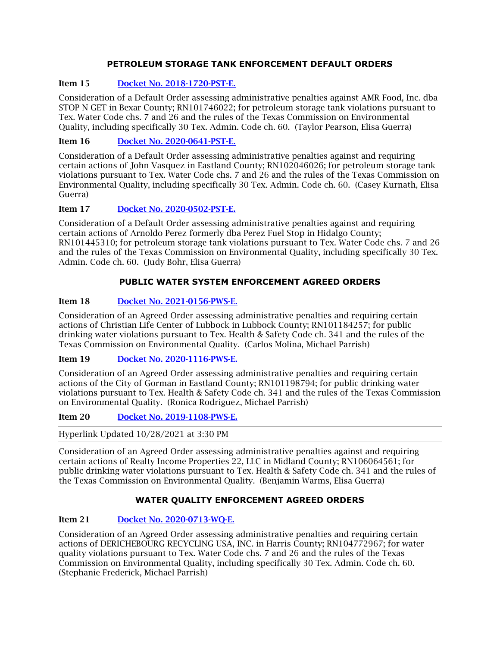# **PETROLEUM STORAGE TANK ENFORCEMENT DEFAULT ORDERS**

# Item 15 [Docket No. 2018-1720-PST-E.](http://www.tceq.texas.gov/assets/public/comm_exec/agendas/comm/backup/Agendas/2021/11-03-2021/1720PST.pdf)

Consideration of a Default Order assessing administrative penalties against AMR Food, Inc. dba STOP N GET in Bexar County; RN101746022; for petroleum storage tank violations pursuant to Tex. Water Code chs. 7 and 26 and the rules of the Texas Commission on Environmental Quality, including specifically 30 Tex. Admin. Code ch. 60. (Taylor Pearson, Elisa Guerra)

# Item 16 [Docket No. 2020-0641-PST-E.](http://www.tceq.texas.gov/assets/public/comm_exec/agendas/comm/backup/Agendas/2021/11-03-2021/0641PST.pdf)

Consideration of a Default Order assessing administrative penalties against and requiring certain actions of John Vasquez in Eastland County; RN102046026; for petroleum storage tank violations pursuant to Tex. Water Code chs. 7 and 26 and the rules of the Texas Commission on Environmental Quality, including specifically 30 Tex. Admin. Code ch. 60. (Casey Kurnath, Elisa Guerra)

# Item 17 [Docket No. 2020-0502-PST-E.](http://www.tceq.texas.gov/assets/public/comm_exec/agendas/comm/backup/Agendas/2021/11-03-2021/0502PST.pdf)

Consideration of a Default Order assessing administrative penalties against and requiring certain actions of Arnoldo Perez formerly dba Perez Fuel Stop in Hidalgo County; RN101445310; for petroleum storage tank violations pursuant to Tex. Water Code chs. 7 and 26 and the rules of the Texas Commission on Environmental Quality, including specifically 30 Tex. Admin. Code ch. 60. (Judy Bohr, Elisa Guerra)

# **PUBLIC WATER SYSTEM ENFORCEMENT AGREED ORDERS**

# Item 18 [Docket No. 2021-0156-PWS-E.](http://www.tceq.texas.gov/assets/public/comm_exec/agendas/comm/backup/Agendas/2021/11-03-2021/0156PWS.pdf)

Consideration of an Agreed Order assessing administrative penalties and requiring certain actions of Christian Life Center of Lubbock in Lubbock County; RN101184257; for public drinking water violations pursuant to Tex. Health & Safety Code ch. 341 and the rules of the Texas Commission on Environmental Quality. (Carlos Molina, Michael Parrish)

# Item 19 [Docket No. 2020-1116-PWS-E.](http://www.tceq.texas.gov/assets/public/comm_exec/agendas/comm/backup/Agendas/2021/11-03-2021/1116PWS.pdf)

Consideration of an Agreed Order assessing administrative penalties and requiring certain actions of the City of Gorman in Eastland County; RN101198794; for public drinking water violations pursuant to Tex. Health & Safety Code ch. 341 and the rules of the Texas Commission on Environmental Quality. (Ronica Rodriguez, Michael Parrish)

Item 20 [Docket No. 2019-1108-PWS-E.](http://www.tceq.texas.gov/assets/public/comm_exec/agendas/comm/backup/Agendas/2021/11-03-2021/1108PWS.pdf)

Hyperlink Updated 10/28/2021 at 3:30 PM

Consideration of an Agreed Order assessing administrative penalties against and requiring certain actions of Realty Income Properties 22, LLC in Midland County; RN106064561; for public drinking water violations pursuant to Tex. Health & Safety Code ch. 341 and the rules of the Texas Commission on Environmental Quality. (Benjamin Warms, Elisa Guerra)

# **WATER QUALITY ENFORCEMENT AGREED ORDERS**

# Item 21 [Docket No. 2020-0713-WQ-E.](http://www.tceq.texas.gov/assets/public/comm_exec/agendas/comm/backup/Agendas/2021/11-03-2021/0713WQ.pdf)

Consideration of an Agreed Order assessing administrative penalties and requiring certain actions of DERICHEBOURG RECYCLING USA, INC. in Harris County; RN104772967; for water quality violations pursuant to Tex. Water Code chs. 7 and 26 and the rules of the Texas Commission on Environmental Quality, including specifically 30 Tex. Admin. Code ch. 60. (Stephanie Frederick, Michael Parrish)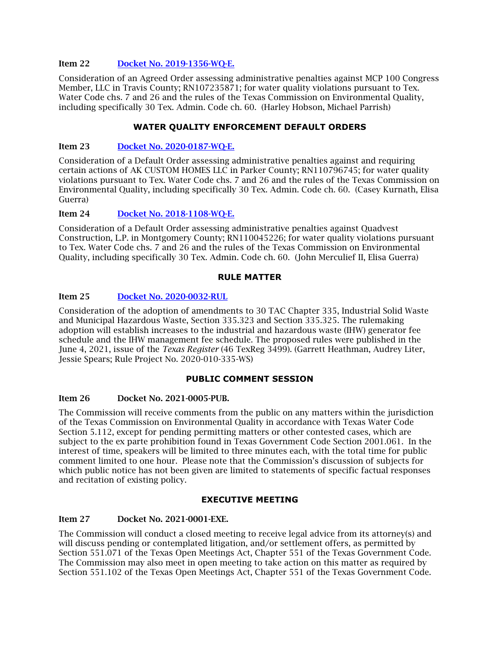#### Item 22 [Docket No. 2019-1356-WQ-E.](http://www.tceq.texas.gov/assets/public/comm_exec/agendas/comm/backup/Agendas/2021/11-03-2021/1356WQ.pdf)

Consideration of an Agreed Order assessing administrative penalties against MCP 100 Congress Member, LLC in Travis County; RN107235871; for water quality violations pursuant to Tex. Water Code chs. 7 and 26 and the rules of the Texas Commission on Environmental Quality, including specifically 30 Tex. Admin. Code ch. 60. (Harley Hobson, Michael Parrish)

#### **WATER QUALITY ENFORCEMENT DEFAULT ORDERS**

#### Item 23 [Docket No. 2020-0187-WQ-E.](http://www.tceq.texas.gov/assets/public/comm_exec/agendas/comm/backup/Agendas/2021/11-03-2021/0187WQ.pdf)

Consideration of a Default Order assessing administrative penalties against and requiring certain actions of AK CUSTOM HOMES LLC in Parker County; RN110796745; for water quality violations pursuant to Tex. Water Code chs. 7 and 26 and the rules of the Texas Commission on Environmental Quality, including specifically 30 Tex. Admin. Code ch. 60. (Casey Kurnath, Elisa Guerra)

#### Item 24 Docket [No. 2018-1108-WQ-E.](http://www.tceq.texas.gov/assets/public/comm_exec/agendas/comm/backup/Agendas/2021/11-03-2021/1108WQ.pdf)

Consideration of a Default Order assessing administrative penalties against Quadvest Construction, L.P. in Montgomery County; RN110045226; for water quality violations pursuant to Tex. Water Code chs. 7 and 26 and the rules of the Texas Commission on Environmental Quality, including specifically 30 Tex. Admin. Code ch. 60. (John Merculief II, Elisa Guerra)

#### **RULE MATTER**

### Item 25 [Docket No. 2020-0032-RUL](http://www.tceq.texas.gov/assets/public/comm_exec/agendas/comm/backup/Agendas/2021/11-03-2021/0032RUL.pdf)

Consideration of the adoption of amendments to 30 TAC Chapter 335, Industrial Solid Waste and Municipal Hazardous Waste, Section 335.323 and Section 335.325. The rulemaking adoption will establish increases to the industrial and hazardous waste (IHW) generator fee schedule and the IHW management fee schedule. The proposed rules were published in the June 4, 2021, issue of the *Texas Register* (46 TexReg 3499). (Garrett Heathman, Audrey Liter, Jessie Spears; Rule Project No. 2020-010-335-WS)

#### **PUBLIC COMMENT SESSION**

#### Item 26 Docket No. 2021-0005-PUB.

The Commission will receive comments from the public on any matters within the jurisdiction of the Texas Commission on Environmental Quality in accordance with Texas Water Code Section 5.112, except for pending permitting matters or other contested cases, which are subject to the ex parte prohibition found in Texas Government Code Section 2001.061. In the interest of time, speakers will be limited to three minutes each, with the total time for public comment limited to one hour. Please note that the Commission's discussion of subjects for which public notice has not been given are limited to statements of specific factual responses and recitation of existing policy.

#### **EXECUTIVE MEETING**

#### Item 27 Docket No. 2021-0001-EXE.

The Commission will conduct a closed meeting to receive legal advice from its attorney(s) and will discuss pending or contemplated litigation, and/or settlement offers, as permitted by Section 551.071 of the Texas Open Meetings Act, Chapter 551 of the Texas Government Code. The Commission may also meet in open meeting to take action on this matter as required by Section 551.102 of the Texas Open Meetings Act, Chapter 551 of the Texas Government Code.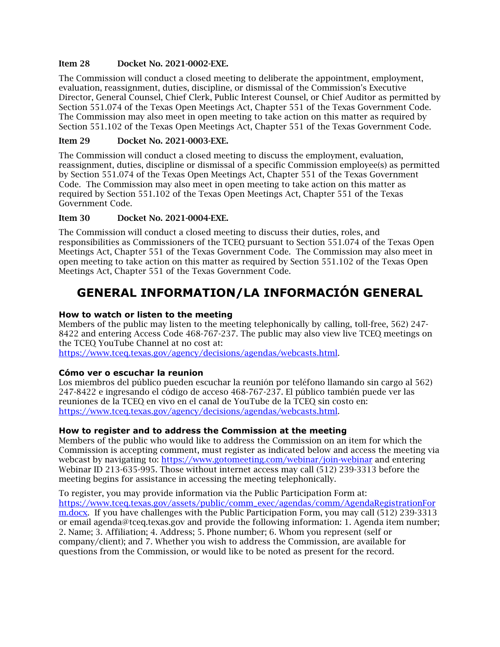#### Item 28 Docket No. 2021-0002-EXE.

The Commission will conduct a closed meeting to deliberate the appointment, employment, evaluation, reassignment, duties, discipline, or dismissal of the Commission's Executive Director, General Counsel, Chief Clerk, Public Interest Counsel, or Chief Auditor as permitted by Section 551.074 of the Texas Open Meetings Act, Chapter 551 of the Texas Government Code. The Commission may also meet in open meeting to take action on this matter as required by Section 551.102 of the Texas Open Meetings Act, Chapter 551 of the Texas Government Code.

## Item 29 Docket No. 2021-0003-EXE.

The Commission will conduct a closed meeting to discuss the employment, evaluation, reassignment, duties, discipline or dismissal of a specific Commission employee(s) as permitted by Section 551.074 of the Texas Open Meetings Act, Chapter 551 of the Texas Government Code. The Commission may also meet in open meeting to take action on this matter as required by Section 551.102 of the Texas Open Meetings Act, Chapter 551 of the Texas Government Code.

# Item 30 Docket No. 2021-0004-EXE.

The Commission will conduct a closed meeting to discuss their duties, roles, and responsibilities as Commissioners of the TCEQ pursuant to Section 551.074 of the Texas Open Meetings Act, Chapter 551 of the Texas Government Code. The Commission may also meet in open meeting to take action on this matter as required by Section 551.102 of the Texas Open Meetings Act, Chapter 551 of the Texas Government Code.

# <span id="page-5-0"></span>**GENERAL INFORMATION/LA INFORMACIÓN GENERAL**

### **How to watch or listen to the meeting**

Members of the public may listen to the meeting telephonically by calling, toll-free, 562) 247- 8422 and entering Access Code 468-767-237. The public may also view live TCEQ meetings on the TCEQ YouTube Channel at no cost at:

[https://www.tceq.texas.gov/agency/decisions/agendas/webcasts.html.](https://www.tceq.texas.gov/agency/decisions/agendas/webcasts.html)

# **Cómo ver o escuchar la reunion**

Los miembros del público pueden escuchar la reunión por teléfono llamando sin cargo al 562) 247-8422 e ingresando el código de acceso 468-767-237. El público también puede ver las reuniones de la TCEQ en vivo en el canal de YouTube de la TCEQ sin costo en: [https://www.tceq.texas.gov/agency/decisions/agendas/webcasts.html.](https://www.tceq.texas.gov/agency/decisions/agendas/webcasts.html)

# **How to register and to address the Commission at the meeting**

Members of the public who would like to address the Commission on an item for which the Commission is accepting comment, must register as indicated below and access the meeting via webcast by navigating to:<https://www.gotomeeting.com/webinar/join-webinar> and entering Webinar ID 213-635-995. Those without internet access may call (512) 239-3313 before the meeting begins for assistance in accessing the meeting telephonically.

To register, you may provide information via the Public Participation Form at: [https://www.tceq.texas.gov/assets/public/comm\\_exec/agendas/comm/AgendaRegistrationFor](https://www.tceq.texas.gov/assets/public/comm_exec/agendas/comm/AgendaRegistrationForm.docx) [m.docx.](https://www.tceq.texas.gov/assets/public/comm_exec/agendas/comm/AgendaRegistrationForm.docx) If you have challenges with the Public Participation Form, you may call (512) 239-3313 or email agenda@tceq.texas.gov and provide the following information: 1. Agenda item number; 2. Name; 3. Affiliation; 4. Address; 5. Phone number; 6. Whom you represent (self or company/client); and 7. Whether you wish to address the Commission, are available for questions from the Commission, or would like to be noted as present for the record.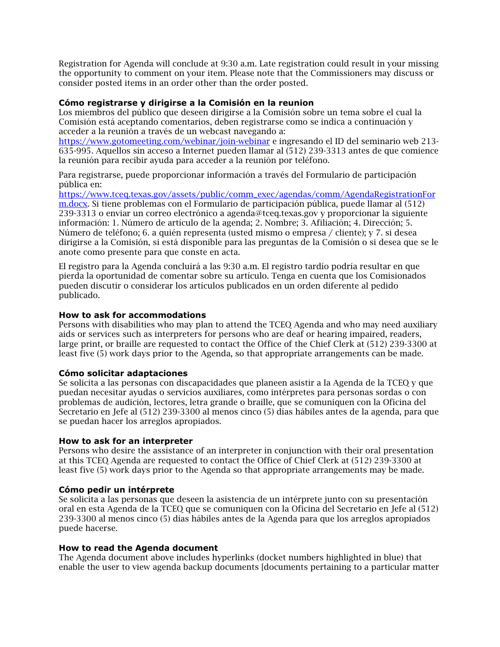Registration for Agenda will conclude at 9:30 a.m. Late registration could result in your missing the opportunity to comment on your item. Please note that the Commissioners may discuss or consider posted items in an order other than the order posted.

#### **Cómo registrarse y dirigirse a la Comisión en la reunion**

Los miembros del público que deseen dirigirse a la Comisión sobre un tema sobre el cual la Comisión está aceptando comentarios, deben registrarse como se indica a continuación y acceder a la reunión a través de un webcast navegando a:

<https://www.gotomeeting.com/webinar/join-webinar> e ingresando el ID del seminario web 213- 635-995. Aquellos sin acceso a Internet pueden llamar al (512) 239-3313 antes de que comience la reunión para recibir ayuda para acceder a la reunión por teléfono.

Para registrarse, puede proporcionar información a través del Formulario de participación pública en:

[https://www.tceq.texas.gov/assets/public/comm\\_exec/agendas/comm/AgendaRegistrationFor](https://www.tceq.texas.gov/assets/public/comm_exec/agendas/comm/AgendaRegistrationForm.docx) [m.docx.](https://www.tceq.texas.gov/assets/public/comm_exec/agendas/comm/AgendaRegistrationForm.docx) Si tiene problemas con el Formulario de participación pública, puede llamar al (512) 239-3313 o enviar un correo electrónico a agenda@tceq.texas.gov y proporcionar la siguiente información: 1. Número de artículo de la agenda; 2. Nombre; 3. Afiliación; 4. Dirección; 5. Número de teléfono; 6. a quién representa (usted mismo o empresa / cliente); y 7. si desea dirigirse a la Comisión, si está disponible para las preguntas de la Comisión o si desea que se le anote como presente para que conste en acta.

El registro para la Agenda concluirá a las 9:30 a.m. El registro tardío podría resultar en que pierda la oportunidad de comentar sobre su artículo. Tenga en cuenta que los Comisionados pueden discutir o considerar los artículos publicados en un orden diferente al pedido publicado.

#### **How to ask for accommodations**

Persons with disabilities who may plan to attend the TCEQ Agenda and who may need auxiliary aids or services such as interpreters for persons who are deaf or hearing impaired, readers, large print, or braille are requested to contact the Office of the Chief Clerk at (512) 239-3300 at least five (5) work days prior to the Agenda, so that appropriate arrangements can be made.

#### **Cómo solicitar adaptaciones**

Se solicita a las personas con discapacidades que planeen asistir a la Agenda de la TCEQ y que puedan necesitar ayudas o servicios auxiliares, como intérpretes para personas sordas o con problemas de audición, lectores, letra grande o braille, que se comuniquen con la Oficina del Secretario en Jefe al (512) 239-3300 al menos cinco (5) días hábiles antes de la agenda, para que se puedan hacer los arreglos apropiados.

#### **How to ask for an interpreter**

Persons who desire the assistance of an interpreter in conjunction with their oral presentation at this TCEQ Agenda are requested to contact the Office of Chief Clerk at (512) 239-3300 at least five (5) work days prior to the Agenda so that appropriate arrangements may be made.

#### **Cómo pedir un intérprete**

Se solicita a las personas que deseen la asistencia de un intérprete junto con su presentación oral en esta Agenda de la TCEQ que se comuniquen con la Oficina del Secretario en Jefe al (512) 239-3300 al menos cinco (5) días hábiles antes de la Agenda para que los arreglos apropiados puede hacerse.

#### **How to read the Agenda document**

The Agenda document above includes hyperlinks (docket numbers highlighted in blue) that enable the user to view agenda backup documents [documents pertaining to a particular matter